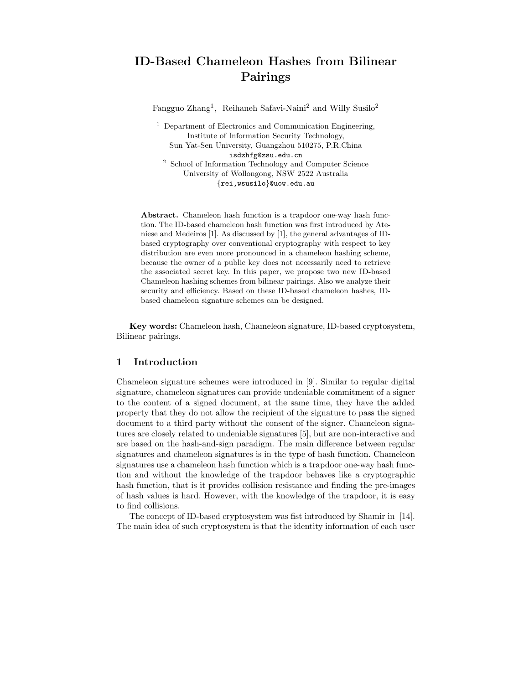# ID-Based Chameleon Hashes from Bilinear Pairings

Fangguo Zhang<sup>1</sup>, Reihaneh Safavi-Naini<sup>2</sup> and Willy Susilo<sup>2</sup>

<sup>1</sup> Department of Electronics and Communication Engineering, Institute of Information Security Technology, Sun Yat-Sen University, Guangzhou 510275, P.R.China isdzhfg@zsu.edu.cn

<sup>2</sup> School of Information Technology and Computer Science University of Wollongong, NSW 2522 Australia {rei,wsusilo}@uow.edu.au

Abstract. Chameleon hash function is a trapdoor one-way hash function. The ID-based chameleon hash function was first introduced by Ateniese and Medeiros [1]. As discussed by [1], the general advantages of IDbased cryptography over conventional cryptography with respect to key distribution are even more pronounced in a chameleon hashing scheme, because the owner of a public key does not necessarily need to retrieve the associated secret key. In this paper, we propose two new ID-based Chameleon hashing schemes from bilinear pairings. Also we analyze their security and efficiency. Based on these ID-based chameleon hashes, IDbased chameleon signature schemes can be designed.

Key words: Chameleon hash, Chameleon signature, ID-based cryptosystem, Bilinear pairings.

### 1 Introduction

Chameleon signature schemes were introduced in [9]. Similar to regular digital signature, chameleon signatures can provide undeniable commitment of a signer to the content of a signed document, at the same time, they have the added property that they do not allow the recipient of the signature to pass the signed document to a third party without the consent of the signer. Chameleon signatures are closely related to undeniable signatures [5], but are non-interactive and are based on the hash-and-sign paradigm. The main difference between regular signatures and chameleon signatures is in the type of hash function. Chameleon signatures use a chameleon hash function which is a trapdoor one-way hash function and without the knowledge of the trapdoor behaves like a cryptographic hash function, that is it provides collision resistance and finding the pre-images of hash values is hard. However, with the knowledge of the trapdoor, it is easy to find collisions.

The concept of ID-based cryptosystem was fist introduced by Shamir in [14]. The main idea of such cryptosystem is that the identity information of each user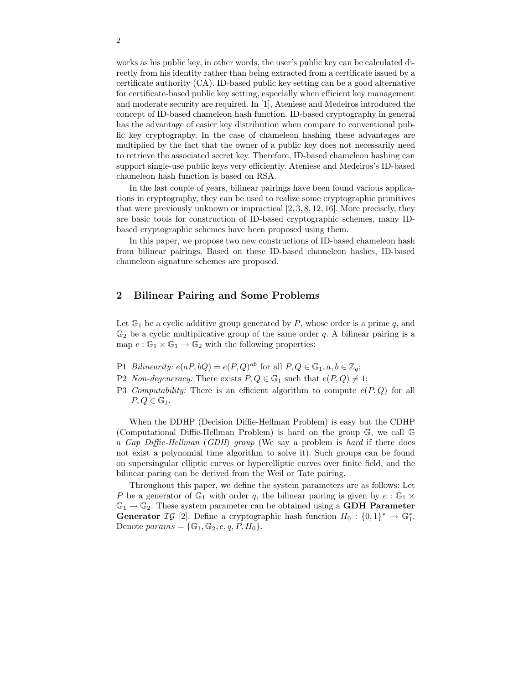works as his public key, in other words, the user's public key can be calculated directly from his identity rather than being extracted from a certificate issued by a certificate authority (CA). ID-based public key setting can be a good alternative for certificate-based public key setting, especially when efficient key management and moderate security are required. In [1], Ateniese and Medeiros introduced the concept of ID-based chameleon hash function. ID-based cryptography in general has the advantage of easier key distribution when compare to conventional public key cryptography. In the case of chameleon hashing these advantages are multiplied by the fact that the owner of a public key does not necessarily need to retrieve the associated secret key. Therefore, ID-based chameleon hashing can support single-use public keys very efficiently. Ateniese and Medeiros's ID-based chameleon hash function is based on RSA.

In the last couple of years, bilinear pairings have been found various applications in cryptography, they can be used to realize some cryptographic primitives that were previously unknown or impractical [2, 3, 8, 12, 16]. More precisely, they are basic tools for construction of ID-based cryptographic schemes, many IDbased cryptographic schemes have been proposed using them.

In this paper, we propose two new constructions of ID-based chameleon hash from bilinear pairings. Based on these ID-based chameleon hashes, ID-based chameleon signature schemes are proposed.

## 2 Bilinear Pairing and Some Problems

Let  $\mathbb{G}_1$  be a cyclic additive group generated by P, whose order is a prime q, and  $\mathbb{G}_2$  be a cyclic multiplicative group of the same order q. A bilinear pairing is a map  $e : \mathbb{G}_1 \times \mathbb{G}_1 \to \mathbb{G}_2$  with the following properties:

- P1 Bilinearity:  $e(aP, bQ) = e(P, Q)^{ab}$  for all  $P, Q \in \mathbb{G}_1, a, b \in \mathbb{Z}_q$ ;
- P2 Non-degeneracy: There exists  $P, Q \in \mathbb{G}_1$  such that  $e(P, Q) \neq 1$ ;
- P3 Computability: There is an efficient algorithm to compute  $e(P,Q)$  for all  $P, Q \in \mathbb{G}_1$ .

When the DDHP (Decision Diffie-Hellman Problem) is easy but the CDHP (Computational Diffie-Hellman Problem) is hard on the group G, we call G a Gap Diffie-Hellman (GDH) group (We say a problem is hard if there does not exist a polynomial time algorithm to solve it). Such groups can be found on supersingular elliptic curves or hyperelliptic curves over finite field, and the bilinear paring can be derived from the Weil or Tate pairing.

Throughout this paper, we define the system parameters are as follows: Let P be a generator of  $\mathbb{G}_1$  with order q, the bilinear pairing is given by  $e : \mathbb{G}_1 \times$  $\mathbb{G}_1 \rightarrow \mathbb{G}_2$ . These system parameter can be obtained using a **GDH Parameter** Generator  $\mathcal{IG}$  [2]. Define a cryptographic hash function  $H_0: \{0,1\}^* \to \mathbb{G}_1^*$ . Denote  $params = \{\mathbb{G}_1, \mathbb{G}_2, e, q, P, H_0\}.$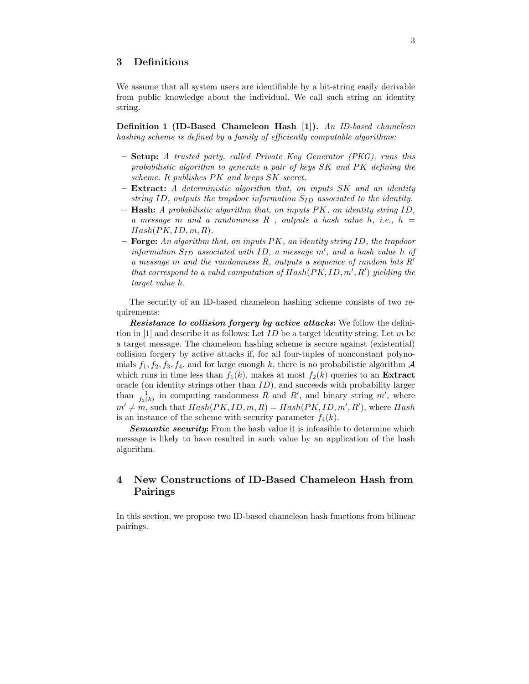# 3 Definitions

We assume that all system users are identifiable by a bit-string easily derivable from public knowledge about the individual. We call such string an identity string.

Definition 1 (ID-Based Chameleon Hash [1]). An ID-based chameleon hashing scheme is defined by a family of efficiently computable algorithms:

- Setup: A trusted party, called Private Key Generator (PKG), runs this probabilistic algorithm to generate a pair of keys SK and PK defining the scheme. It publishes PK and keeps SK secret.
- Extract: A deterministic algorithm that, on inputs SK and an identity string ID, outputs the trapdoor information  $S_{ID}$  associated to the identity.
- $-$  Hash: A probabilistic algorithm that, on inputs  $PK$ , an identity string ID, a message m and a randomness  $R$ , outputs a hash value h, i.e.,  $h =$  $Hash(PK, ID, m, R).$
- $-$  Forge: An algorithm that, on inputs PK, an identity string ID, the trapdoor information  $S_{ID}$  associated with ID, a message  $m'$ , and a hash value h of a message m and the randomness  $R$ , outputs a sequence of random bits  $R'$ that correspond to a valid computation of  $Hash(PK, ID, m', R')$  yielding the target value h.

The security of an ID-based chameleon hashing scheme consists of two requirements:

Resistance to collision forgery by active attacks: We follow the definition in [1] and describe it as follows: Let  $ID$  be a target identity string. Let m be a target message. The chameleon hashing scheme is secure against (existential) collision forgery by active attacks if, for all four-tuples of nonconstant polynomials  $f_1, f_2, f_3, f_4$ , and for large enough k, there is no probabilistic algorithm A which runs in time less than  $f_1(k)$ , makes at most  $f_2(k)$  queries to an **Extract** oracle (on identity strings other than ID), and succeeds with probability larger than  $\frac{1}{f_3(k)}$  in computing randomness R and R', and binary string m', where  $m' \neq m$ , such that  $Hash(PK, ID, m, R) = Hash(PK, ID, m', R')$ , where Hash is an instance of the scheme with security parameter  $f_4(k)$ .

**Semantic security:** From the hash value it is infeasible to determine which message is likely to have resulted in such value by an application of the hash algorithm.

# 4 New Constructions of ID-Based Chameleon Hash from Pairings

In this section, we propose two ID-based chameleon hash functions from bilinear pairings.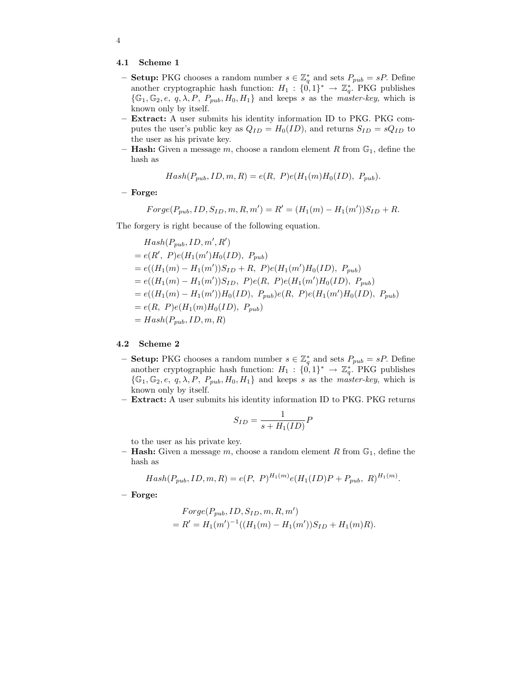#### 4.1 Scheme 1

- **Setup:** PKG chooses a random number  $s \in \mathbb{Z}_q^*$  and sets  $P_{pub} = sP$ . Define another cryptographic hash function:  $H_1: \{0,1\}^* \to \mathbb{Z}_q^*$ . PKG publishes  $\{\mathbb{G}_1, \mathbb{G}_2, e, q, \lambda, P, P_{pub}, H_0, H_1\}$  and keeps s as the *master-key*, which is known only by itself.
- Extract: A user submits his identity information ID to PKG. PKG computes the user's public key as  $Q_{ID} = H_0(ID)$ , and returns  $S_{ID} = sQ_{ID}$  to the user as his private key.
- **Hash:** Given a message m, choose a random element R from  $\mathbb{G}_1$ , define the hash as

$$
Hash(P_{pub}, ID, m, R) = e(R, P)e(H_1(m)H_0(ID), P_{pub}).
$$

– Forge:

$$
Forge(P_{pub}, ID, S_{ID}, m, R, m') = R' = (H_1(m) - H_1(m'))S_{ID} + R.
$$

The forgery is right because of the following equation.

$$
Hash(P_{pub}, ID, m', R')
$$
  
=  $e(R', P)e(H_1(m')H_0(ID), P_{pub})$   
=  $e((H_1(m) - H_1(m'))S_{ID} + R, P)e(H_1(m')H_0(ID), P_{pub})$   
=  $e((H_1(m) - H_1(m'))S_{ID}, P)e(R, P)e(H_1(m')H_0(ID), P_{pub})$   
=  $e((H_1(m) - H_1(m'))H_0(ID), P_{pub})e(R, P)e(H_1(m')H_0(ID), P_{pub})$   
=  $e(R, P)e(H_1(m)H_0(ID), P_{pub})$   
=  $Hash(P_{pub}, ID, m, R)$ 

#### 4.2 Scheme 2

- **Setup:** PKG chooses a random number  $s \in \mathbb{Z}_q^*$  and sets  $P_{pub} = sP$ . Define another cryptographic hash function:  $H_1: \{0,1\}^* \to \mathbb{Z}_q^*$ . PKG publishes  $\{\mathbb{G}_1, \mathbb{G}_2, e, q, \lambda, P, P_{pub}, H_0, H_1\}$  and keeps s as the *master-key*, which is known only by itself.
- Extract: A user submits his identity information ID to PKG. PKG returns

$$
S_{ID} = \frac{1}{s + H_1(ID)} P
$$

to the user as his private key.

– **Hash:** Given a message m, choose a random element R from  $\mathbb{G}_1$ , define the hash as

$$
Hash(P_{pub}, ID, m, R) = e(P, P)^{H_1(m)} e(H_1(ID)P + P_{pub}, R)^{H_1(m)}.
$$

– Forge:

$$
For ge(P_{pub}, ID, S_{ID}, m, R, m') = R' = H_1(m')^{-1}((H_1(m) - H_1(m'))S_{ID} + H_1(m)R).
$$

4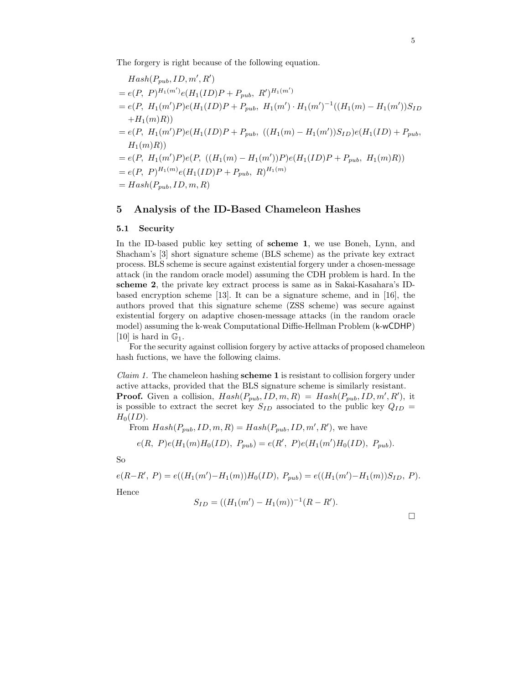The forgery is right because of the following equation.

$$
Hash(P_{pub}, ID, m', R')
$$
  
=  $e(P, P)^{H_1(m')}e(H_1(ID)P + P_{pub}, R')^{H_1(m')}$   
=  $e(P, H_1(m')P)e(H_1(ID)P + P_{pub}, H_1(m') \cdot H_1(m')^{-1}((H_1(m) - H_1(m'))S_{ID}$   
+  $H_1(m)R)$ )  
=  $e(P, H_1(m')P)e(H_1(ID)P + P_{pub}, ((H_1(m) - H_1(m'))S_{ID})e(H_1(ID) + P_{pub}, H_1(m)R))$   
=  $e(P, H_1(m')P)e(P, ((H_1(m) - H_1(m'))P)e(H_1(ID)P + P_{pub}, H_1(m)R))$   
=  $e(P, P)^{H_1(m)}e(H_1(ID)P + P_{pub}, R)^{H_1(m)}$   
=  $Hash(P_{pub}, ID, m, R)$ 

### 5 Analysis of the ID-Based Chameleon Hashes

#### 5.1 Security

In the ID-based public key setting of scheme 1, we use Boneh, Lynn, and Shacham's [3] short signature scheme (BLS scheme) as the private key extract process. BLS scheme is secure against existential forgery under a chosen-message attack (in the random oracle model) assuming the CDH problem is hard. In the scheme 2, the private key extract process is same as in Sakai-Kasahara's IDbased encryption scheme [13]. It can be a signature scheme, and in [16], the authors proved that this signature scheme (ZSS scheme) was secure against existential forgery on adaptive chosen-message attacks (in the random oracle model) assuming the k-weak Computational Diffie-Hellman Problem (k-wCDHP) [10] is hard in  $\mathbb{G}_1$ .

For the security against collision forgery by active attacks of proposed chameleon hash fuctions, we have the following claims.

*Claim 1.* The chameleon hashing **scheme 1** is resistant to collision forgery under active attacks, provided that the BLS signature scheme is similarly resistant. **Proof.** Given a collision,  $Hash(P_{pub}, ID, m, R) = Hash(P_{pub}, ID, m', R')$ , it is possible to extract the secret key  $S_{ID}$  associated to the public key  $Q_{ID}$  =  $H_0(ID).$ 

From  $Hash(P_{pub}, ID, m, R) = Hash(P_{pub}, ID, m', R')$ , we have

$$
e(R, P)e(H_1(m)H_0(ID), P_{pub}) = e(R', P)e(H_1(m')H_0(ID), P_{pub}).
$$

So

$$
e(R - R', P) = e((H_1(m') - H_1(m))H_0(ID), P_{pub}) = e((H_1(m') - H_1(m))S_{ID}, P).
$$

Hence

$$
S_{ID} = ((H_1(m') - H_1(m))^{-1}(R - R').
$$

 $\Box$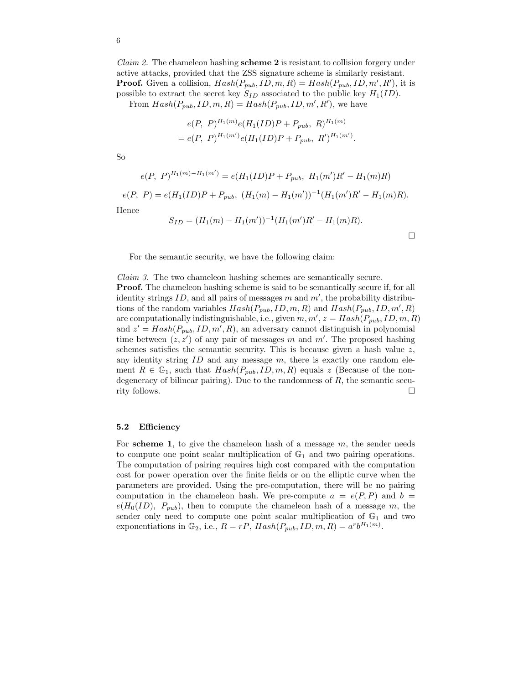*Claim 2.* The chameleon hashing **scheme 2** is resistant to collision forgery under active attacks, provided that the ZSS signature scheme is similarly resistant. **Proof.** Given a collision,  $Hash(P_{pub}, ID, m, R) = Hash(P_{pub}, ID, m', R')$ , it is possible to extract the secret key  $S_{ID}$  associated to the public key  $H_1(ID)$ .

From  $Hash(P_{pub}, ID, m, R) = Hash(P_{pub}, ID, m', R')$ , we have

$$
e(P, P)^{H_1(m)} e(H_1(ID)P + P_{pub}, R)^{H_1(m)}
$$
  
=  $e(P, P)^{H_1(m')} e(H_1(ID)P + P_{pub}, R')^{H_1(m')}.$ 

So

$$
e(P, P)^{H_1(m)-H_1(m')} = e(H_1(ID)P + P_{pub}, H_1(m')R' - H_1(m)R)
$$

$$
e(P, P) = e(H_1(ID)P + P_{pub}, (H_1(m) - H_1(m'))^{-1}(H_1(m')R' - H_1(m)R).
$$

Hence

$$
S_{ID} = (H_1(m) - H_1(m'))^{-1}(H_1(m')R' - H_1(m)R).
$$

 $\Box$ 

For the semantic security, we have the following claim:

Claim 3. The two chameleon hashing schemes are semantically secure. **Proof.** The chameleon hashing scheme is said to be semantically secure if, for all identity strings  $ID$ , and all pairs of messages m and  $m'$ , the probability distributions of the random variables  $Hash(P_{pub}, ID, m, R)$  and  $Hash(P_{pub}, ID, m', R)$ are computationally indistinguishable, i.e., given  $m, m', z = Hash(P_{pub}, ID, m, R)$ and  $z' = Hash(P_{pub}, ID, m', R)$ , an adversary cannot distinguish in polynomial time between  $(z, z')$  of any pair of messages m and m'. The proposed hashing schemes satisfies the semantic security. This is because given a hash value  $z$ , any identity string  $ID$  and any message  $m$ , there is exactly one random element  $R \in \mathbb{G}_1$ , such that  $Hash(P_{pub}, ID, m, R)$  equals z (Because of the nondegeneracy of bilinear pairing). Due to the randomness of  $R$ , the semantic security follows.  $\square$ 

#### 5.2 Efficiency

For scheme 1, to give the chameleon hash of a message  $m$ , the sender needs to compute one point scalar multiplication of  $\mathbb{G}_1$  and two pairing operations. The computation of pairing requires high cost compared with the computation cost for power operation over the finite fields or on the elliptic curve when the parameters are provided. Using the pre-computation, there will be no pairing computation in the chameleon hash. We pre-compute  $a = e(P, P)$  and  $b =$  $e(H_0(ID), P_{pub}),$  then to compute the chameleon hash of a message m, the sender only need to compute one point scalar multiplication of  $\mathbb{G}_1$  and two exponentiations in  $\mathbb{G}_2$ , i.e.,  $R = rP$ ,  $Hash(P_{pub}, ID, m, R) = a^rb^{H_1(m)}$ .

6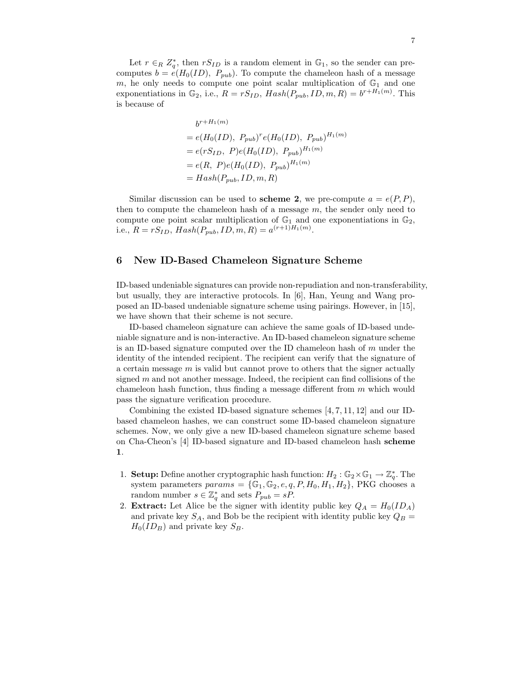Let  $r \in_R Z_q^*$ , then  $rS_{ID}$  is a random element in  $\mathbb{G}_1$ , so the sender can precomputes  $b = e(H_0(ID), P_{pub})$ . To compute the chameleon hash of a message m, he only needs to compute one point scalar multiplication of  $\mathbb{G}_1$  and one exponentiations in  $\mathbb{G}_2$ , i.e.,  $R = rS_{ID}$ ,  $Hash(P_{pub}, ID, m, R) = b^{r+H_1(m)}$ . This is because of

$$
b^{r+H_1(m)}
$$
  
=  $e(H_0(ID), P_{pub})^r e(H_0(ID), P_{pub})^{H_1(m)}$   
=  $e(rS_{ID}, P)e(H_0(ID), P_{pub})^{H_1(m)}$   
=  $e(R, P)e(H_0(ID), P_{pub})^{H_1(m)}$   
=  $Hash(P_{pub}, ID, m, R)$ 

Similar discussion can be used to scheme 2, we pre-compute  $a = e(P, P)$ , then to compute the chameleon hash of a message  $m$ , the sender only need to compute one point scalar multiplication of  $\mathbb{G}_1$  and one exponentiations in  $\mathbb{G}_2$ , i.e.,  $R = rS_{ID}$ ,  $Hash(P_{pub}, ID, m, R) = a^{(r+1)H_1(m)}$ .

### 6 New ID-Based Chameleon Signature Scheme

ID-based undeniable signatures can provide non-repudiation and non-transferability, but usually, they are interactive protocols. In [6], Han, Yeung and Wang proposed an ID-based undeniable signature scheme using pairings. However, in [15], we have shown that their scheme is not secure.

ID-based chameleon signature can achieve the same goals of ID-based undeniable signature and is non-interactive. An ID-based chameleon signature scheme is an ID-based signature computed over the ID chameleon hash of  $m$  under the identity of the intended recipient. The recipient can verify that the signature of a certain message  $m$  is valid but cannot prove to others that the signer actually signed  $m$  and not another message. Indeed, the recipient can find collisions of the chameleon hash function, thus finding a message different from  $m$  which would pass the signature verification procedure.

Combining the existed ID-based signature schemes [4, 7, 11, 12] and our IDbased chameleon hashes, we can construct some ID-based chameleon signature schemes. Now, we only give a new ID-based chameleon signature scheme based on Cha-Cheon's [4] ID-based signature and ID-based chameleon hash scheme 1.

- 1. **Setup:** Define another cryptographic hash function:  $H_2 : \mathbb{G}_2 \times \mathbb{G}_1 \to \mathbb{Z}_q^*$ . The system parameters  $params = \{\mathbb{G}_1, \mathbb{G}_2, e, q, P, H_0, H_1, H_2\}$ , PKG chooses a random number  $s \in \mathbb{Z}_q^*$  and sets  $P_{pub} = sP$ .
- 2. **Extract:** Let Alice be the signer with identity public key  $Q_A = H_0(ID_A)$ and private key  $S_A$ , and Bob be the recipient with identity public key  $Q_B =$  $H_0(ID_B)$  and private key  $S_B$ .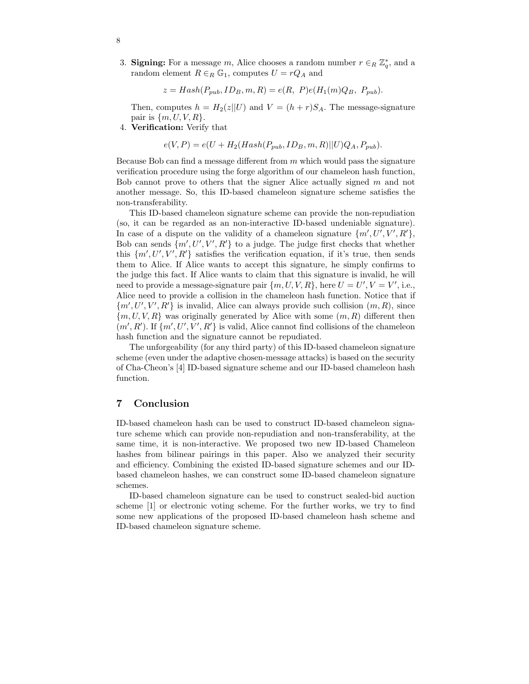3. **Signing:** For a message m, Alice chooses a random number  $r \in_R \mathbb{Z}_q^*$ , and a random element  $R \in_R \mathbb{G}_1$ , computes  $U = rQ_A$  and

$$
z = Hash(P_{pub}, ID_B, m, R) = e(R, P)e(H_1(m)Q_B, P_{pub}).
$$

Then, computes  $h = H_2(z||U)$  and  $V = (h + r)S_A$ . The message-signature pair is  $\{m, U, V, R\}.$ 

4. Verification: Verify that

$$
e(V, P) = e(U + H_2(Hash(P_{pub}, ID_B, m, R) || U)Q_A, P_{pub}).
$$

Because Bob can find a message different from  $m$  which would pass the signature verification procedure using the forge algorithm of our chameleon hash function, Bob cannot prove to others that the signer Alice actually signed m and not another message. So, this ID-based chameleon signature scheme satisfies the non-transferability.

This ID-based chameleon signature scheme can provide the non-repudiation (so, it can be regarded as an non-interactive ID-based undeniable signature). In case of a dispute on the validity of a chameleon signature  $\{m', U', V', R'\},$ Bob can sends  $\{m', U', V', R'\}$  to a judge. The judge first checks that whether this  $\{m', U', V', R'\}$  satisfies the verification equation, if it's true, then sends them to Alice. If Alice wants to accept this signature, he simply confirms to the judge this fact. If Alice wants to claim that this signature is invalid, he will need to provide a message-signature pair  $\{m, U, V, R\}$ , here  $U = U', V = V'$ , i.e., Alice need to provide a collision in the chameleon hash function. Notice that if  ${m', U', V', R'}$  is invalid, Alice can always provide such collision  $(m, R)$ , since  ${m, U, V, R}$  was originally generated by Alice with some  $(m, R)$  different then  $(m', R')$ . If  $\{m', U', V', R'\}$  is valid, Alice cannot find collisions of the chameleon hash function and the signature cannot be repudiated.

The unforgeability (for any third party) of this ID-based chameleon signature scheme (even under the adaptive chosen-message attacks) is based on the security of Cha-Cheon's [4] ID-based signature scheme and our ID-based chameleon hash function.

# 7 Conclusion

ID-based chameleon hash can be used to construct ID-based chameleon signature scheme which can provide non-repudiation and non-transferability, at the same time, it is non-interactive. We proposed two new ID-based Chameleon hashes from bilinear pairings in this paper. Also we analyzed their security and efficiency. Combining the existed ID-based signature schemes and our IDbased chameleon hashes, we can construct some ID-based chameleon signature schemes.

ID-based chameleon signature can be used to construct sealed-bid auction scheme [1] or electronic voting scheme. For the further works, we try to find some new applications of the proposed ID-based chameleon hash scheme and ID-based chameleon signature scheme.